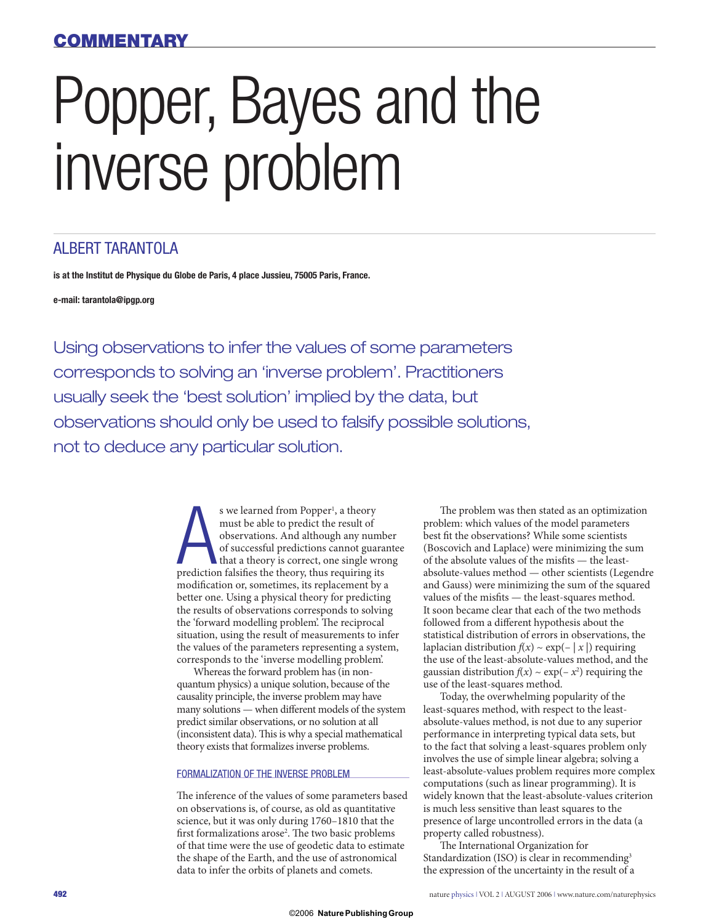# Popper, Bayes and the inverse problem

## ALBERT TARANTOLA

**is at the Institut de Physique du Globe de Paris, 4 place Jussieu, 75005 Paris, France.**

**e-mail: tarantola@ipgp.org**

Using observations to infer the values of some parameters corresponds to solving an 'inverse problem'. Practitioners usually seek the 'best solution' implied by the data, but observations should only be used to falsify possible solutions, not to deduce any particular solution.

> s we learned from Popper<sup>1</sup>, a theory<br>must be able to predict the result of<br>observations. And although any numb<br>of successful predictions cannot guara<br>that a theory is correct, one single wro<br>prediction falsifies the theor s we learned from Popper<sup>1</sup>, a theory must be able to predict the result of observations. And although any number of successful predictions cannot guarantee that a theory is correct, one single wrong modification or, sometimes, its replacement by a better one. Using a physical theory for predicting the results of observations corresponds to solving the 'forward modelling problem'. The reciprocal situation, using the result of measurements to infer the values of the parameters representing a system, corresponds to the 'inverse modelling problem'.

> Whereas the forward problem has (in nonquantum physics) a unique solution, because of the causality principle, the inverse problem may have many solutions — when different models of the system predict similar observations, or no solution at all  $(inconsistent data)$ . This is why a special mathematical theory exists that formalizes inverse problems.

#### FORMALIZATION OF THE INVERSE PROBLEM

The inference of the values of some parameters based on observations is, of course, as old as quantitative science, but it was only during 1760–1810 that the first formalizations arose<sup>2</sup>. The two basic problems of that time were the use of geodetic data to estimate the shape of the Earth, and the use of astronomical data to infer the orbits of planets and comets.

The problem was then stated as an optimization problem: which values of the model parameters best fit the observations? While some scientists (Boscovich and Laplace) were minimizing the sum of the absolute values of the misfits - the leastabsolute-values method — other scientists (Legendre and Gauss) were minimizing the sum of the squared values of the misfits — the least-squares method. It soon became clear that each of the two methods followed from a different hypothesis about the statistical distribution of errors in observations, the laplacian distribution  $f(x) \sim \exp(- |x|)$  requiring the use of the least-absolute-values method, and the gaussian distribution  $f(x) \sim \exp(-x^2)$  requiring the use of the least-squares method.

Today, the overwhelming popularity of the least-squares method, with respect to the leastabsolute-values method, is not due to any superior performance in interpreting typical data sets, but to the fact that solving a least-squares problem only involves the use of simple linear algebra; solving a least-absolute-values problem requires more complex computations (such as linear programming). It is widely known that the least-absolute-values criterion is much less sensitive than least squares to the presence of large uncontrolled errors in the data (a property called robustness).

The International Organization for Standardization (ISO) is clear in recommending<sup>3</sup> the expression of the uncertainty in the result of a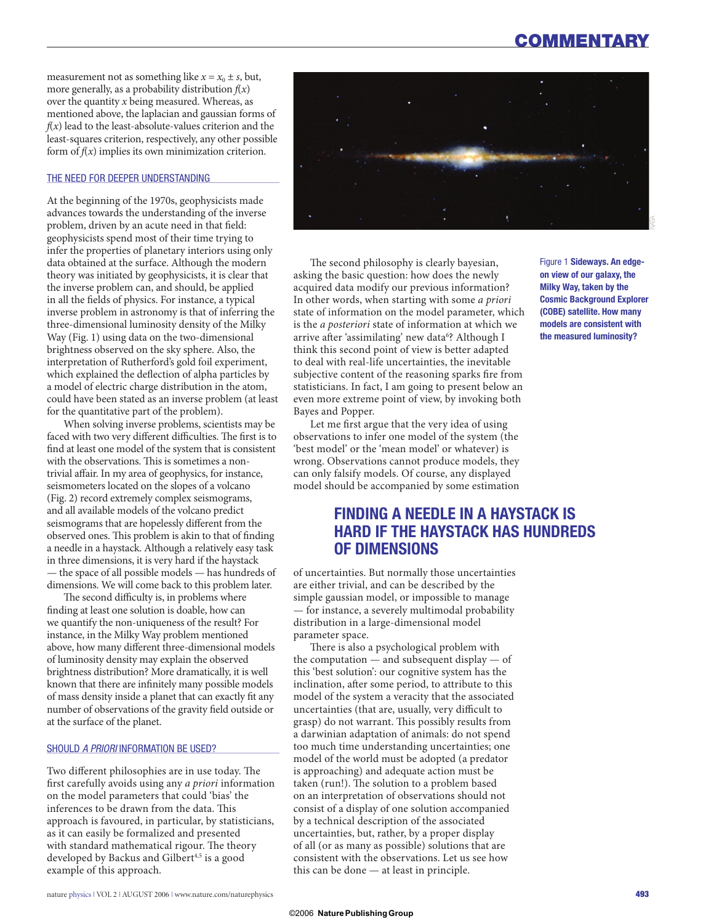# **COMMENTARY**

measurement not as something like  $x = x_0 \pm s$ , but, more generally, as a probability distribution  $f(x)$ over the quantity *x* being measured. Whereas, as mentioned above, the laplacian and gaussian forms of  $f(x)$  lead to the least-absolute-values criterion and the least-squares criterion, respectively, any other possible form of  $f(x)$  implies its own minimization criterion.

#### THE NEED FOR DEEPER UNDERSTANDING

At the beginning of the 1970s, geophysicists made advances towards the understanding of the inverse problem, driven by an acute need in that field: geophysicists spend most of their time trying to infer the properties of planetary interiors using only data obtained at the surface. Although the modern theory was initiated by geophysicists, it is clear that the inverse problem can, and should, be applied in all the fields of physics. For instance, a typical inverse problem in astronomy is that of inferring the three-dimensional luminosity density of the Milky Way (Fig. 1) using data on the two-dimensional brightness observed on the sky sphere. Also, the interpretation of Rutherford's gold foil experiment, which explained the deflection of alpha particles by a model of electric charge distribution in the atom, could have been stated as an inverse problem (at least for the quantitative part of the problem).

When solving inverse problems, scientists may be faced with two very different difficulties. The first is to find at least one model of the system that is consistent with the observations. This is sometimes a nontrivial affair. In my area of geophysics, for instance, seismometers located on the slopes of a volcano (Fig. 2) record extremely complex seismograms, and all available models of the volcano predict seismograms that are hopelessly different from the observed ones. This problem is akin to that of finding a needle in a haystack. Although a relatively easy task in three dimensions, it is very hard if the haystack — the space of all possible models — has hundreds of dimensions. We will come back to this problem later.

The second difficulty is, in problems where finding at least one solution is doable, how can we quantify the non-uniqueness of the result? For instance, in the Milky Way problem mentioned above, how many different three-dimensional models of luminosity density may explain the observed brightness distribution? More dramatically, it is well known that there are infinitely many possible models of mass density inside a planet that can exactly fit any number of observations of the gravity field outside or at the surface of the planet.

#### SHOULD *A PRIORI* INFORMATION BE USED?

Two different philosophies are in use today. The first carefully avoids using any *a priori* information on the model parameters that could 'bias' the inferences to be drawn from the data. This approach is favoured, in particular, by statisticians, as it can easily be formalized and presented with standard mathematical rigour. The theory developed by Backus and Gilbert<sup>4,5</sup> is a good example of this approach.



The second philosophy is clearly bayesian, asking the basic question: how does the newly acquired data modify our previous information? In other words, when starting with some *a priori* state of information on the model parameter, which is the *a posteriori* state of information at which we arrive after 'assimilating' new data<sup>6</sup>? Although I think this second point of view is better adapted to deal with real-life uncertainties, the inevitable subjective content of the reasoning sparks fire from statisticians. In fact, I am going to present below an even more extreme point of view, by invoking both Bayes and Popper.

Let me first argue that the very idea of using observations to infer one model of the system (the 'best model' or the 'mean model' or whatever) is wrong. Observations cannot produce models, they can only falsify models. Of course, any displayed model should be accompanied by some estimation

## **FINDING A NEEDLE IN A HAYSTACK IS HARD IF THE HAYSTACK HAS HUNDREDS OF DIMENSIONS**

of uncertainties. But normally those uncertainties are either trivial, and can be described by the simple gaussian model, or impossible to manage — for instance, a severely multimodal probability distribution in a large-dimensional model parameter space.

There is also a psychological problem with the computation — and subsequent display — of this 'best solution': our cognitive system has the inclination, after some period, to attribute to this model of the system a veracity that the associated uncertainties (that are, usually, very difficult to grasp) do not warrant. This possibly results from a darwinian adaptation of animals: do not spend too much time understanding uncertainties; one model of the world must be adopted (a predator is approaching) and adequate action must be taken (run!). The solution to a problem based on an interpretation of observations should not consist of a display of one solution accompanied by a technical description of the associated uncertainties, but, rather, by a proper display of all (or as many as possible) solutions that are consistent with the observations. Let us see how this can be done — at least in principle.

Figure 1 **Sideways. An edgeon view of our galaxy, the Milky Way, taken by the Cosmic Background Explorer (COBE) satellite. How many models are consistent with the measured luminosity?**